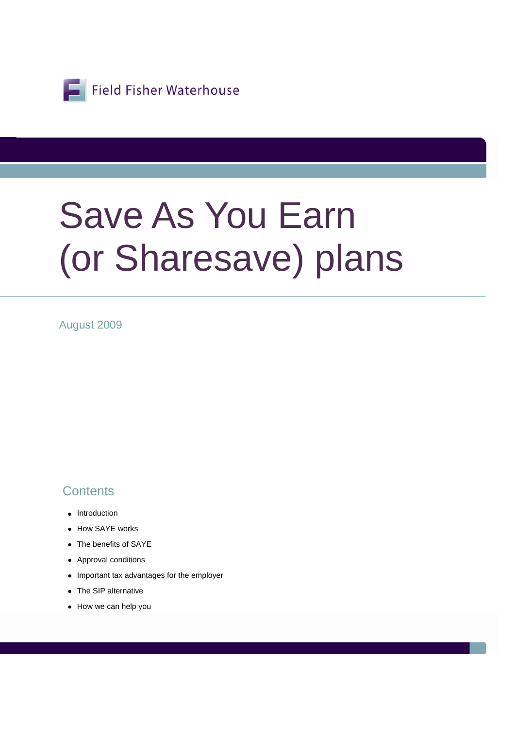

# Save As You Earn (or Sharesave) plans

August 2009

### **Contents**

- Introduction
- How SAYE works
- The benefits of SAYE
- Approval conditions
- Important tax advantages for the employer
- The SIP alternative
- How we can help you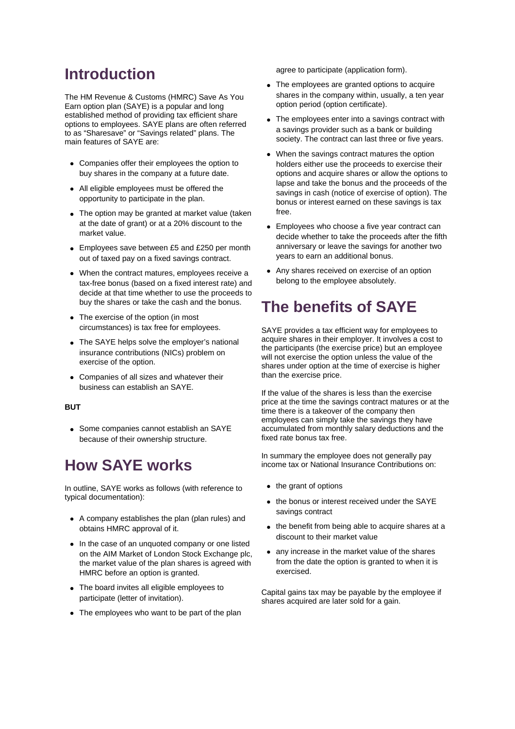### **Introduction**

The HM Revenue & Customs (HMRC) Save As You Earn option plan (SAYE) is a popular and long established method of providing tax efficient share options to employees. SAYE plans are often referred to as "Sharesave" or "Savings related" plans. The main features of SAYE are:

- Companies offer their employees the option to buy shares in the company at a future date.
- All eligible employees must be offered the opportunity to participate in the plan.
- The option may be granted at market value (taken at the date of grant) or at a 20% discount to the market value.
- Employees save between £5 and £250 per month out of taxed pay on a fixed savings contract.
- When the contract matures, employees receive a tax-free bonus (based on a fixed interest rate) and decide at that time whether to use the proceeds to buy the shares or take the cash and the bonus.
- The exercise of the option (in most circumstances) is tax free for employees.
- The SAYE helps solve the employer's national insurance contributions (NICs) problem on exercise of the option.
- Companies of all sizes and whatever their business can establish an SAYE.

#### **BUT**

• Some companies cannot establish an SAYE because of their ownership structure.

## **How SAYE works**

In outline, SAYE works as follows (with reference to typical documentation):

- A company establishes the plan (plan rules) and obtains HMRC approval of it.
- In the case of an unquoted company or one listed on the AIM Market of London Stock Exchange plc, the market value of the plan shares is agreed with HMRC before an option is granted.
- The board invites all eligible employees to participate (letter of invitation).
- The employees who want to be part of the plan

agree to participate (application form).

- The employees are granted options to acquire shares in the company within, usually, a ten year option period (option certificate).
- The employees enter into a savings contract with a savings provider such as a bank or building society. The contract can last three or five years.
- When the savings contract matures the option holders either use the proceeds to exercise their options and acquire shares or allow the options to lapse and take the bonus and the proceeds of the savings in cash (notice of exercise of option). The bonus or interest earned on these savings is tax free.
- Employees who choose a five year contract can decide whether to take the proceeds after the fifth anniversary or leave the savings for another two years to earn an additional bonus.
- Any shares received on exercise of an option belong to the employee absolutely.

# **The benefits of SAYE**

SAYE provides a tax efficient way for employees to acquire shares in their employer. It involves a cost to the participants (the exercise price) but an employee will not exercise the option unless the value of the shares under option at the time of exercise is higher than the exercise price.

If the value of the shares is less than the exercise price at the time the savings contract matures or at the time there is a takeover of the company then employees can simply take the savings they have accumulated from monthly salary deductions and the fixed rate bonus tax free.

In summary the employee does not generally pay income tax or National Insurance Contributions on:

- the grant of options
- the bonus or interest received under the SAYE savings contract
- the benefit from being able to acquire shares at a discount to their market value
- any increase in the market value of the shares from the date the option is granted to when it is exercised.

Capital gains tax may be payable by the employee if shares acquired are later sold for a gain.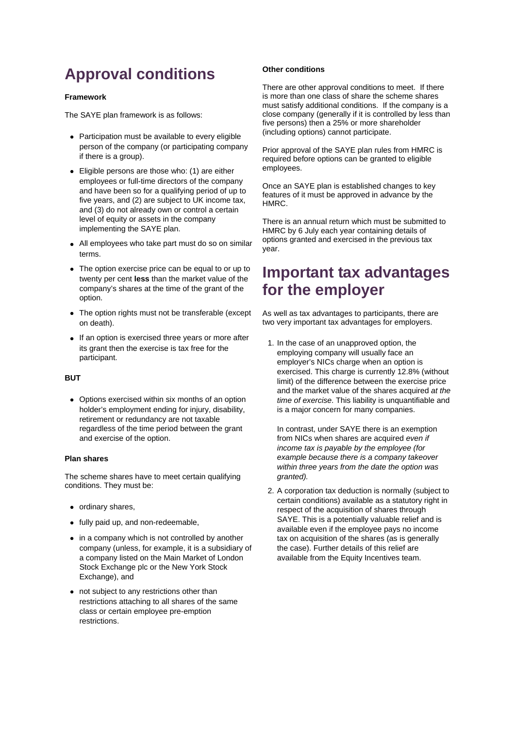# **Approval conditions**

#### **Framework**

The SAYE plan framework is as follows:

- Participation must be available to every eligible person of the company (or participating company if there is a group).
- Eligible persons are those who: (1) are either employees or full-time directors of the company and have been so for a qualifying period of up to five years, and (2) are subject to UK income tax, and (3) do not already own or control a certain level of equity or assets in the company implementing the SAYE plan.
- All employees who take part must do so on similar terms.
- The option exercise price can be equal to or up to twenty per cent **less** than the market value of the company's shares at the time of the grant of the option.
- The option rights must not be transferable (except on death).
- If an option is exercised three years or more after its grant then the exercise is tax free for the participant.

#### **BUT**

• Options exercised within six months of an option holder's employment ending for injury, disability, retirement or redundancy are not taxable regardless of the time period between the grant and exercise of the option.

#### **Plan shares**

The scheme shares have to meet certain qualifying conditions. They must be:

- ordinary shares,
- fully paid up, and non-redeemable,
- in a company which is not controlled by another company (unless, for example, it is a subsidiary of a company listed on the Main Market of London Stock Exchange plc or the New York Stock Exchange), and
- not subject to any restrictions other than restrictions attaching to all shares of the same class or certain employee pre-emption restrictions.

#### **Other conditions**

There are other approval conditions to meet. If there is more than one class of share the scheme shares must satisfy additional conditions. If the company is a close company (generally if it is controlled by less than five persons) then a 25% or more shareholder (including options) cannot participate.

Prior approval of the SAYE plan rules from HMRC is required before options can be granted to eligible employees.

Once an SAYE plan is established changes to key features of it must be approved in advance by the HMRC.

There is an annual return which must be submitted to HMRC by 6 July each year containing details of options granted and exercised in the previous tax year.

### **Important tax advantages for the employer**

As well as tax advantages to participants, there are two very important tax advantages for employers.

1. In the case of an unapproved option, the employing company will usually face an employer's NICs charge when an option is exercised. This charge is currently 12.8% (without limit) of the difference between the exercise price and the market value of the shares acquired *at the time of exercise*. This liability is unquantifiable and is a major concern for many companies.

In contrast, under SAYE there is an exemption from NICs when shares are acquired *even if income tax is payable by the employee (for example because there is a company takeover within three years from the date the option was granted).*

2. A corporation tax deduction is normally (subject to certain conditions) available as a statutory right in respect of the acquisition of shares through SAYE. This is a potentially valuable relief and is available even if the employee pays no income tax on acquisition of the shares (as is generally the case). Further details of this relief are available from the Equity Incentives team.